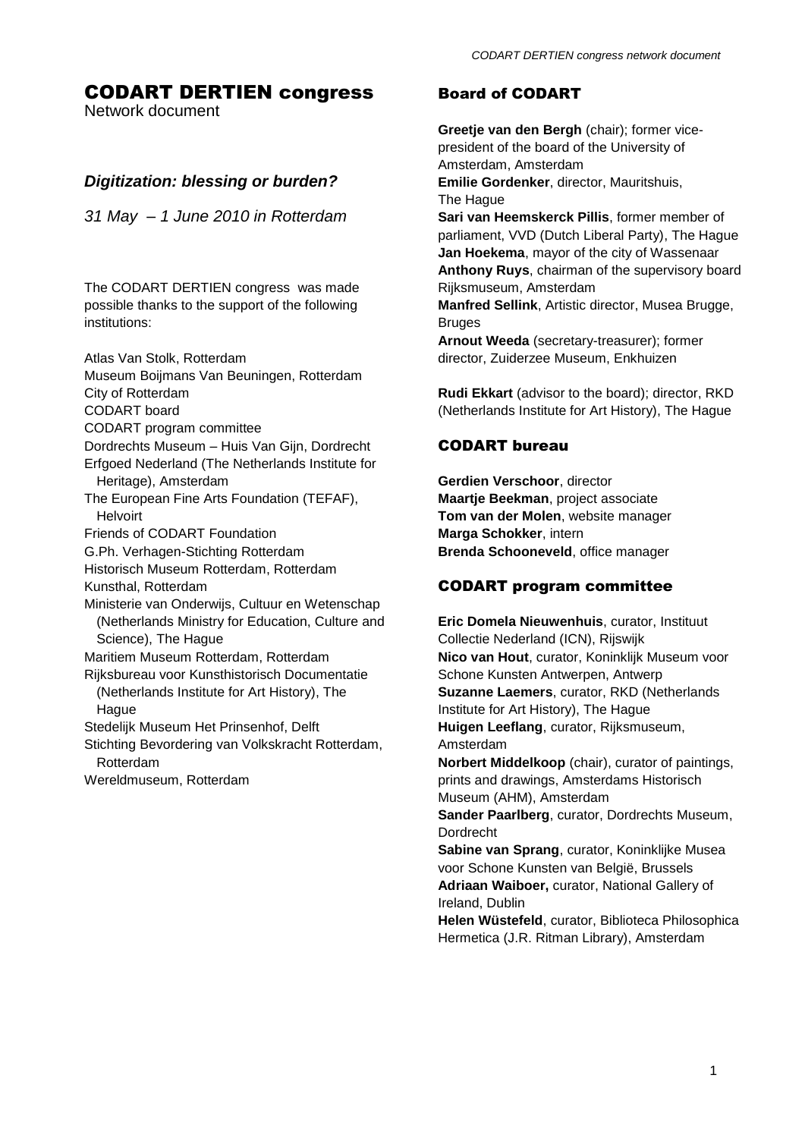# CODART DERTIEN congress

Network document

# *Digitization: blessing or burden?*

*31 May – 1 June 2010 in Rotterdam*

The CODART DERTIEN congress was made possible thanks to the support of the following institutions:

Atlas Van Stolk, Rotterdam Museum Boijmans Van Beuningen, Rotterdam City of Rotterdam

CODART board

- CODART program committee
- Dordrechts Museum Huis Van Gijn, Dordrecht Erfgoed Nederland (The Netherlands Institute for Heritage), Amsterdam
- The European Fine Arts Foundation (TEFAF), Helvoirt

Friends of CODART Foundation

G.Ph. Verhagen-Stichting Rotterdam

Historisch Museum Rotterdam, Rotterdam

Kunsthal, Rotterdam

Ministerie van Onderwijs, Cultuur en Wetenschap (Netherlands Ministry for Education, Culture and Science), The Hague

Maritiem Museum Rotterdam, Rotterdam

Rijksbureau voor Kunsthistorisch Documentatie (Netherlands Institute for Art History), The **Hague** 

Stedelijk Museum Het Prinsenhof, Delft

Stichting Bevordering van Volkskracht Rotterdam, Rotterdam

Wereldmuseum, Rotterdam

# Board of CODART

**Greetje van den Bergh** (chair); former vicepresident of the board of the University of Amsterdam, Amsterdam

**Emilie Gordenker**, director, Mauritshuis, The Hague

**Sari van Heemskerck Pillis**, former member of parliament, VVD (Dutch Liberal Party), The Hague **Jan Hoekema**, mayor of the city of Wassenaar **Anthony Ruys**, chairman of the supervisory board Rijksmuseum, Amsterdam

**Manfred Sellink**, Artistic director, Musea Brugge, **Bruges** 

**Arnout Weeda** (secretary-treasurer); former director, Zuiderzee Museum, Enkhuizen

**Rudi Ekkart** (advisor to the board); director, RKD (Netherlands Institute for Art History), The Hague

# CODART bureau

**Gerdien Verschoor**, director **Maartje Beekman**, project associate **Tom van der Molen**, website manager **Marga Schokker**, intern **Brenda Schooneveld**, office manager

# CODART program committee

**Eric Domela Nieuwenhuis**, curator, Instituut Collectie Nederland (ICN), Rijswijk **Nico van Hout**, curator, Koninklijk Museum voor Schone Kunsten Antwerpen, Antwerp **Suzanne Laemers**, curator, RKD (Netherlands Institute for Art History), The Hague **Huigen Leeflang**, curator, Rijksmuseum, Amsterdam **Norbert Middelkoop** (chair), curator of paintings, prints and drawings, Amsterdams Historisch Museum (AHM), Amsterdam **Sander Paarlberg**, curator, Dordrechts Museum, Dordrecht **Sabine van Sprang**, curator, Koninklijke Musea voor Schone Kunsten van België, Brussels **Adriaan Waiboer,** curator, National Gallery of Ireland, Dublin **Helen Wüstefeld**, curator, Biblioteca Philosophica Hermetica (J.R. Ritman Library), Amsterdam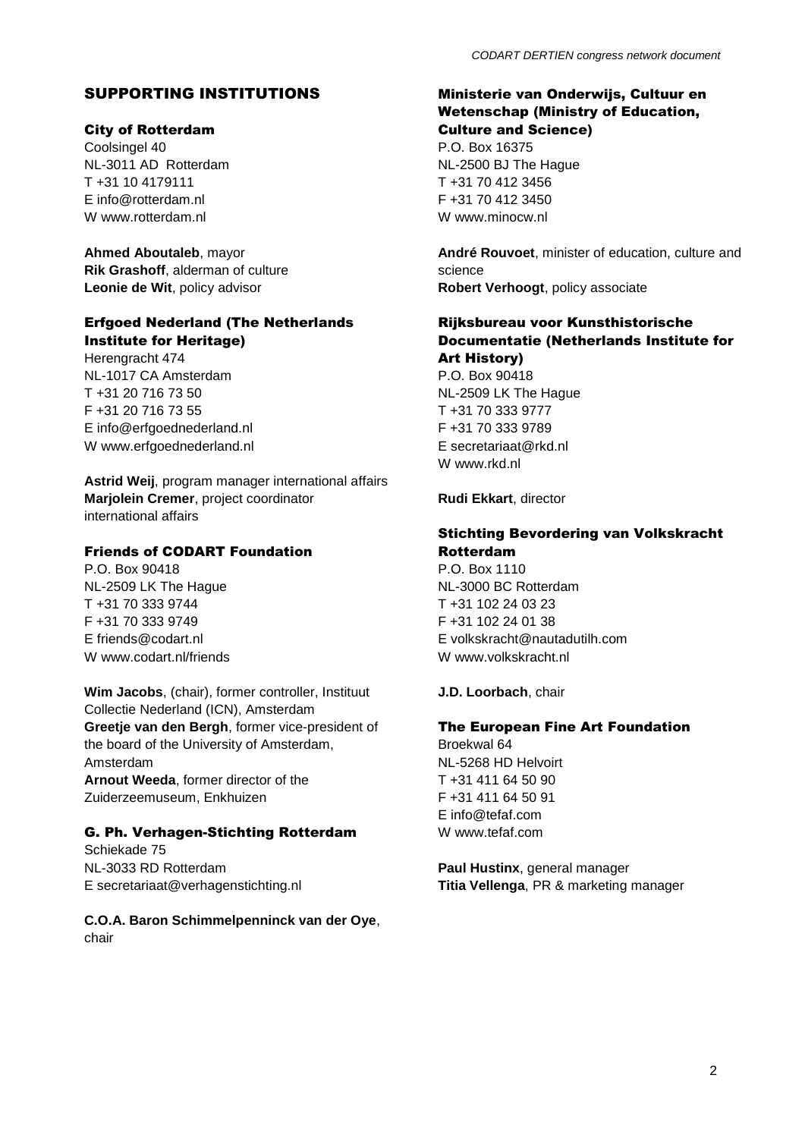# SUPPORTING INSTITUTIONS

## City of Rotterdam

Coolsingel 40 NL-3011 AD Rotterdam T +31 10 4179111 E info@rotterdam.nl W www.rotterdam.nl

**Ahmed Aboutaleb**, mayor **Rik Grashoff**, alderman of culture **Leonie de Wit**, policy advisor

## Erfgoed Nederland (The Netherlands Institute for Heritage)

Herengracht 474 NL-1017 CA Amsterdam T +31 20 716 73 50 F +31 20 716 73 55 E info@erfgoednederland.nl W www.erfgoednederland.nl

**Astrid Weij**, program manager international affairs **Marjolein Cremer**, project coordinator international affairs

## Friends of CODART Foundation

P.O. Box 90418 NL-2509 LK The Hague T +31 70 333 9744 F +31 70 333 9749 E friends@codart.nl W www.codart.nl/friends

**Wim Jacobs**, (chair), former controller, Instituut Collectie Nederland (ICN), Amsterdam **Greetje van den Bergh**, former vice-president of the board of the University of Amsterdam, Amsterdam **Arnout Weeda**, former director of the Zuiderzeemuseum, Enkhuizen

## G. Ph. Verhagen-Stichting Rotterdam

Schiekade 75 NL-3033 RD Rotterdam E secretariaat@verhagenstichting.nl

**C.O.A. Baron Schimmelpenninck van der Oye**, chair

## Ministerie van Onderwijs, Cultuur en Wetenschap (Ministry of Education, Culture and Science)

P.O. Box 16375 NL-2500 BJ The Hague T +31 70 412 3456 F +31 70 412 3450 W www.minocw.nl

**André Rouvoet**, minister of education, culture and science **Robert Verhoogt**, policy associate

## Rijksbureau voor Kunsthistorische Documentatie (Netherlands Institute for Art History) P.O. Box 90418 NL-2509 LK The Hague

T +31 70 333 9777 F +31 70 333 9789 E secretariaat@rkd.nl W www.rkd.nl

**Rudi Ekkart**, director

## Stichting Bevordering van Volkskracht Rotterdam

P.O. Box 1110 NL-3000 BC Rotterdam T +31 102 24 03 23 F +31 102 24 01 38 E [volkskracht@nautadutilh.com](mailto:volkskracht@nautadutilh.com) W www.volkskracht.nl

## **J.D. Loorbach**, chair

## The European Fine Art Foundation

Broekwal 64 NL-5268 HD Helvoirt  $T + 31411645090$ F +31 411 64 50 91 E info@tefaf.com W www.tefaf.com

**Paul Hustinx**, general manager **Titia Vellenga**, PR & marketing manager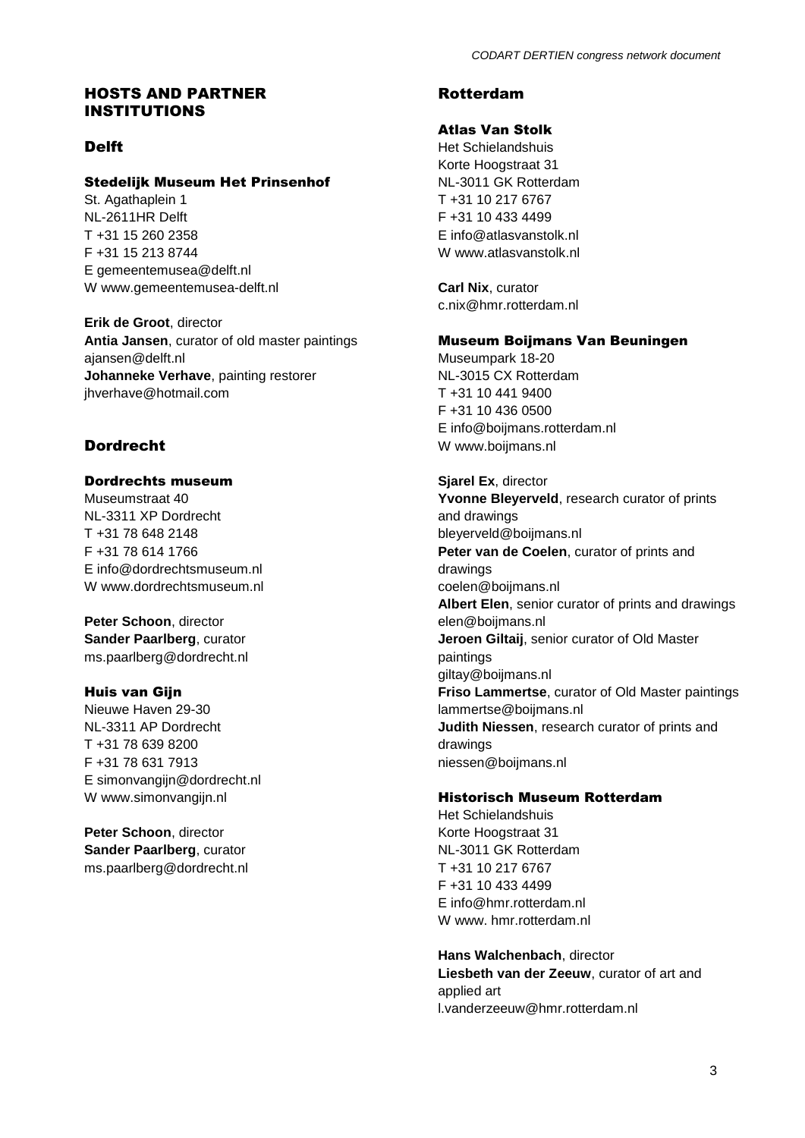## HOSTS AND PARTNER INSTITUTIONS

# Delft

## Stedelijk Museum Het Prinsenhof

St. Agathaplein 1 NL-2611HR Delft T +31 15 260 2358 F +31 15 213 8744 E gemeentemusea@delft.nl W www.gemeentemusea-delft.nl

**Erik de Groot**, director **Antia Jansen**, curator of old master paintings ajansen@delft.nl **Johanneke Verhave**, painting restorer jhverhave@hotmail.com

# Dordrecht

## Dordrechts museum

Museumstraat 40 NL-3311 XP Dordrecht T +31 78 648 2148 F +31 78 614 1766 E info@dordrechtsmuseum.nl W www.dordrechtsmuseum.nl

**Peter Schoon**, director **Sander Paarlberg**, curator ms.paarlberg@dordrecht.nl

## Huis van Gijn

Nieuwe Haven 29-30 NL-3311 AP Dordrecht T +31 78 639 8200 F +31 78 631 7913 E simonvangijn@dordrecht.nl W www.simonvangijn.nl

**Peter Schoon**, director **Sander Paarlberg**, curator ms.paarlberg@dordrecht.nl

# Rotterdam

## Atlas Van Stolk

Het Schielandshuis Korte Hoogstraat 31 NL-3011 GK Rotterdam T +31 10 217 6767 F +31 10 433 4499 E info@atlasvanstolk.nl W www.atlasvanstolk.nl

**Carl Nix**, curator c.nix@hmr.rotterdam.nl

### Museum Boijmans Van Beuningen

Museumpark 18-20 NL-3015 CX Rotterdam T +31 10 441 9400 F +31 10 436 0500 E info@boijmans.rotterdam.nl W www.boijmans.nl

## **Sjarel Ex**, director

**Yvonne Bleyerveld**, research curator of prints and drawings bleyerveld@boijmans.nl **Peter van de Coelen**, curator of prints and drawings coelen@boijmans.nl **Albert Elen**, senior curator of prints and drawings elen@boijmans.nl **Jeroen Giltaij**, senior curator of Old Master paintings giltay@boijmans.nl **Friso Lammertse**, curator of Old Master paintings lammertse@boijmans.nl **Judith Niessen**, research curator of prints and drawings niessen@boijmans.nl

### Historisch Museum Rotterdam

Het Schielandshuis Korte Hoogstraat 31 NL-3011 GK Rotterdam T +31 10 217 6767 F +31 10 433 4499 E info@hmr.rotterdam.nl W www. hmr.rotterdam.nl

**Hans Walchenbach**, director **Liesbeth van der Zeeuw**, curator of art and applied art l.vanderzeeuw@hmr.rotterdam.nl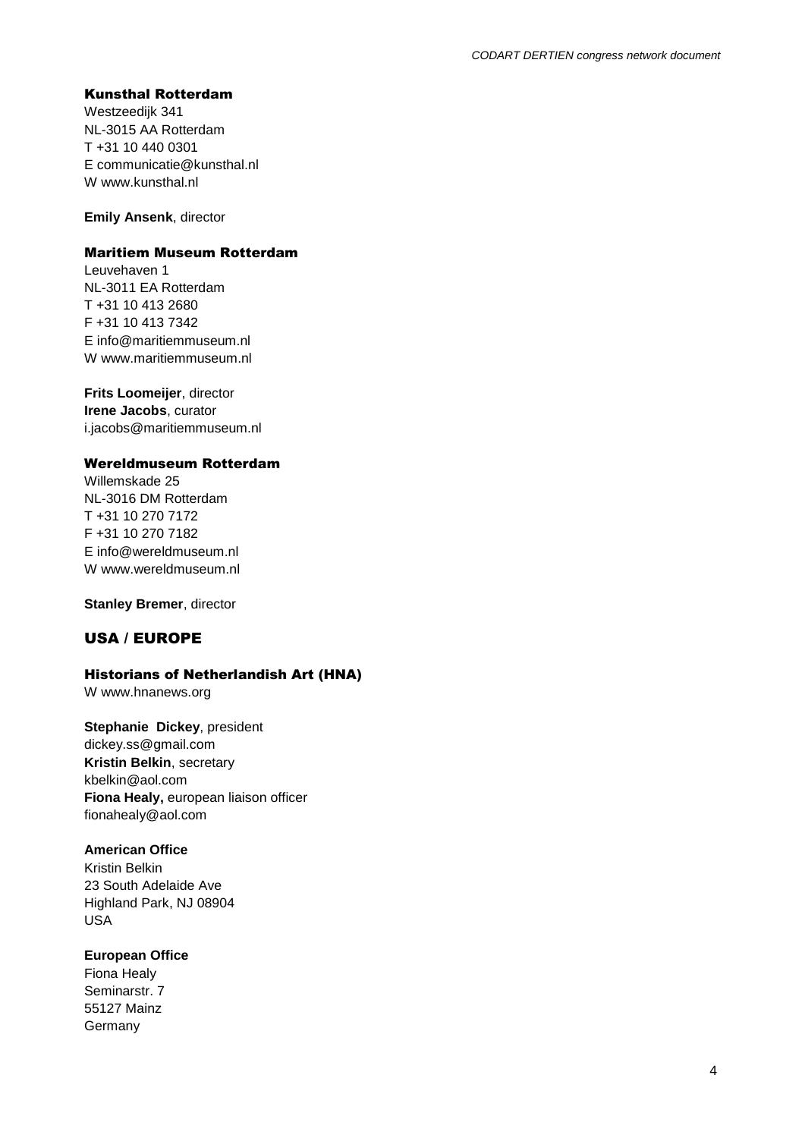### Kunsthal Rotterdam

Westzeedijk 341 NL-3015 AA Rotterdam T +31 10 440 0301 E communicatie@kunsthal.nl W www.kunsthal.nl

**Emily Ansenk**, director

### Maritiem Museum Rotterdam

Leuvehaven 1 NL-3011 EA Rotterdam T +31 10 413 2680 F +31 10 413 7342 E info@maritiemmuseum.nl W www.maritiemmuseum.nl

**Frits Loomeijer**, director **Irene Jacobs**, curator i.jacobs@maritiemmuseum.nl

### Wereldmuseum Rotterdam

Willemskade 25 NL-3016 DM Rotterdam T +31 10 270 7172 F +31 10 270 7182 E info@wereldmuseum.nl W www.wereldmuseum.nl

**Stanley Bremer**, director

## USA / EUROPE

## Historians of Netherlandish Art (HNA)

W www.hnanews.org

**Stephanie Dickey**, president dickey.ss@gmail.com **Kristin Belkin**, secretary kbelkin@aol.com **Fiona Healy,** european liaison officer fionahealy@aol.com

### **American Office**

Kristin Belkin 23 South Adelaide Ave Highland Park, NJ 08904 USA

**European Office**

Fiona Healy Seminarstr. 7 55127 Mainz Germany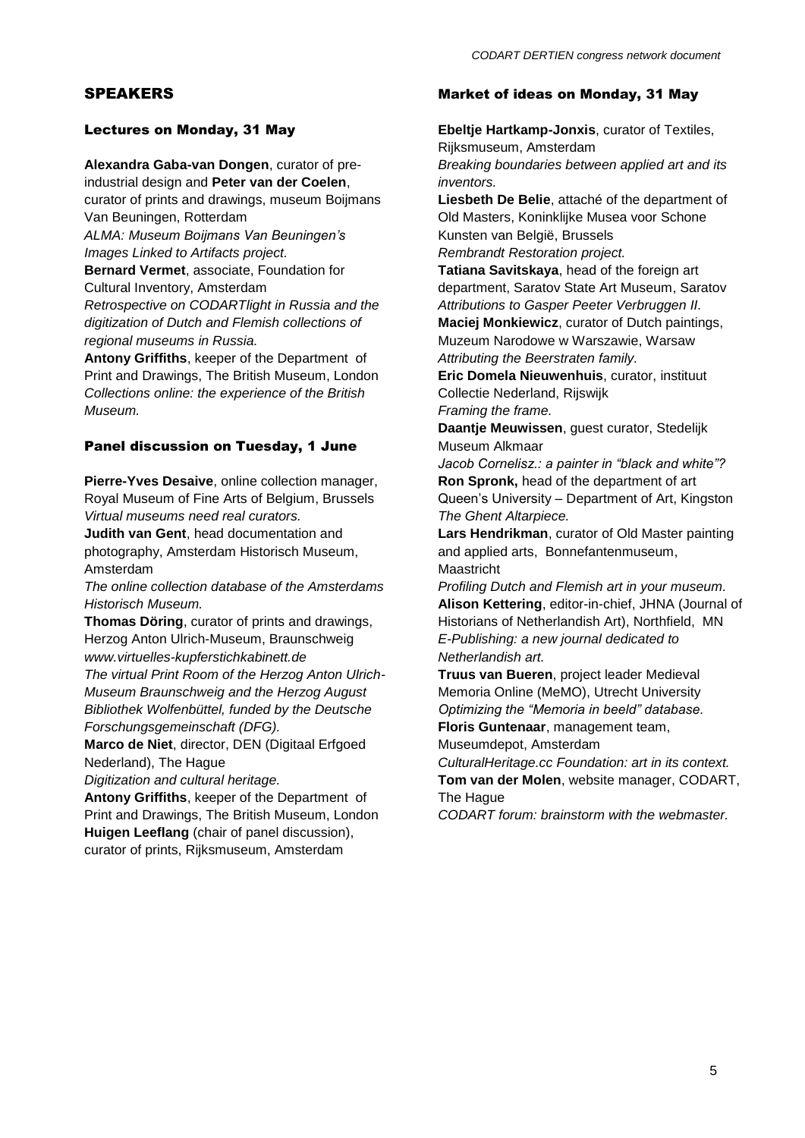## SPEAKERS

## Lectures on Monday, 31 May

**Alexandra Gaba-van Dongen**, curator of pre-

industrial design and **Peter van der Coelen**, curator of prints and drawings, museum Boijmans Van Beuningen, Rotterdam

*ALMA: Museum Boijmans Van Beuningen's Images Linked to Artifacts project.*

**Bernard Vermet**, associate, Foundation for Cultural Inventory, Amsterdam

*Retrospective on CODARTlight in Russia and the digitization of Dutch and Flemish collections of regional museums in Russia.*

**Antony Griffiths**, keeper of the Department of Print and Drawings, The British Museum, London *Collections online: the experience of the British Museum.*

## Panel discussion on Tuesday, 1 June

**Pierre-Yves Desaive**, online collection manager, Royal Museum of Fine Arts of Belgium, Brussels *Virtual museums need real curators.*

**Judith van Gent**, head documentation and photography, Amsterdam Historisch Museum, Amsterdam

*The online collection database of the Amsterdams Historisch Museum.*

**Thomas Döring**, curator of prints and drawings, Herzog Anton Ulrich-Museum, Braunschweig *www.virtuelles-kupferstichkabinett.de*

*The virtual Print Room of the Herzog Anton Ulrich-Museum Braunschweig and the Herzog August Bibliothek Wolfenbüttel, funded by the Deutsche Forschungsgemeinschaft (DFG).* 

**Marco de Niet**, director, DEN (Digitaal Erfgoed Nederland), The Hague

*Digitization and cultural heritage.*

**Antony Griffiths**, keeper of the Department of Print and Drawings, The British Museum, London **Huigen Leeflang** (chair of panel discussion), curator of prints, Rijksmuseum, Amsterdam

## Market of ideas on Monday, 31 May

**Ebeltje Hartkamp-Jonxis**, curator of Textiles, Rijksmuseum, Amsterdam *Breaking boundaries between applied art and its inventors.* **Liesbeth De Belie**, attaché of the department of Old Masters, Koninklijke Musea voor Schone Kunsten van België, Brussels *Rembrandt Restoration project.* **Tatiana Savitskaya**, head of the foreign art department, Saratov State Art Museum, Saratov *Attributions to Gasper Peeter Verbruggen II.* **Maciej Monkiewicz**, curator of Dutch paintings, Muzeum Narodowe w Warszawie, Warsaw *Attributing the Beerstraten family.* **Eric Domela Nieuwenhuis**, curator, instituut Collectie Nederland, Rijswijk *Framing the frame.* **Daantje Meuwissen**, guest curator, Stedelijk Museum Alkmaar *Jacob Cornelisz.: a painter in "black and white"?* **Ron Spronk,** head of the department of art Queen's University – Department of Art, Kingston *The Ghent Altarpiece.* **Lars Hendrikman**, curator of Old Master painting and applied arts, Bonnefantenmuseum, Maastricht *Profiling Dutch and Flemish art in your museum.* **Alison Kettering**, editor-in-chief, JHNA (Journal of Historians of Netherlandish Art), Northfield, MN *E-Publishing: a new journal dedicated to Netherlandish art.*

**Truus van Bueren**, project leader Medieval Memoria Online (MeMO), Utrecht University *Optimizing the "Memoria in beeld" database.* **Floris Guntenaar**, management team,

Museumdepot, Amsterdam

*CulturalHeritage.cc Foundation: art in its context.* **Tom van der Molen**, website manager, CODART, The Hague

*CODART forum: brainstorm with the webmaster.*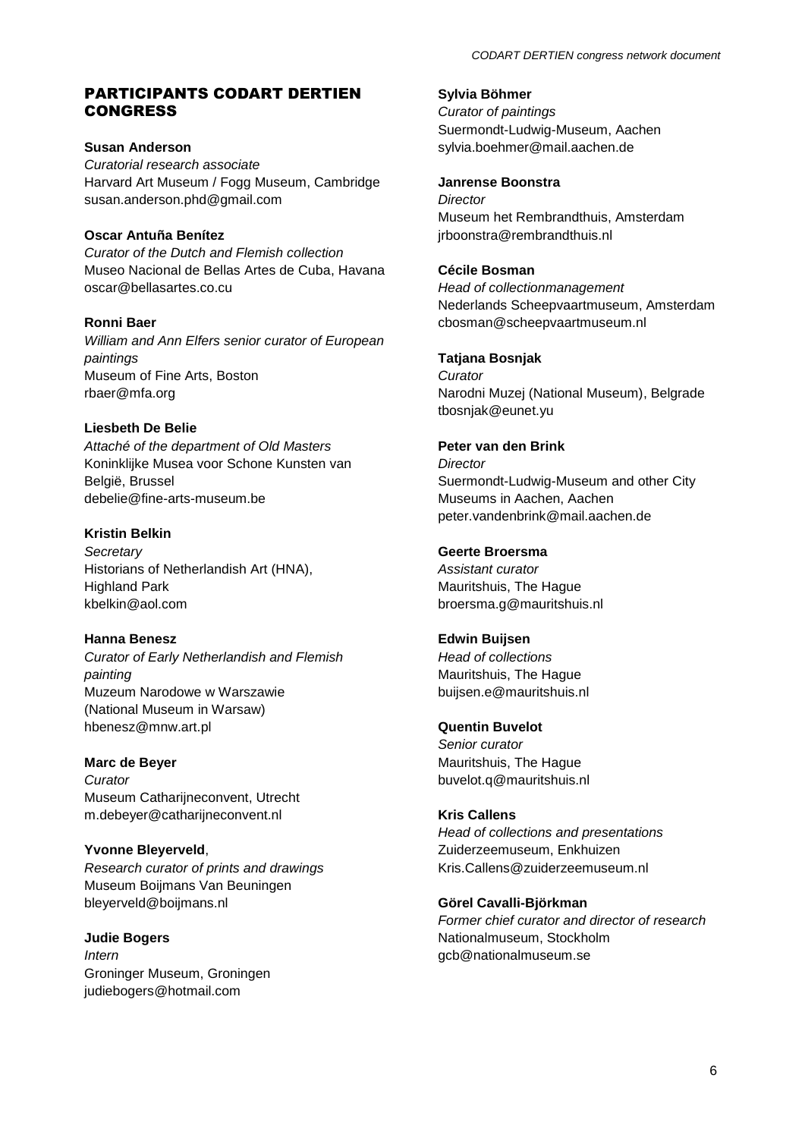## PARTICIPANTS CODART DERTIEN **CONGRESS**

**Susan Anderson** *Curatorial research associate* Harvard Art Museum / Fogg Museum, Cambridge susan.anderson.phd@gmail.com

## **Oscar Antuña Benítez**

*Curator of the Dutch and Flemish collection* Museo Nacional de Bellas Artes de Cuba, Havana oscar@bellasartes.co.cu

### **Ronni Baer**

*William and Ann Elfers senior curator of European paintings* Museum of Fine Arts, Boston rbaer@mfa.org

## **Liesbeth De Belie**

*Attaché of the department of Old Masters*  Koninklijke Musea voor Schone Kunsten van België, Brussel debelie@fine-arts-museum.be

## **Kristin Belkin**

*Secretary* Historians of Netherlandish Art (HNA), Highland Park kbelkin@aol.com

## **Hanna Benesz**

*Curator of Early Netherlandish and Flemish painting* Muzeum Narodowe w Warszawie (National Museum in Warsaw) hbenesz@mnw.art.pl

# **Marc de Beyer** *Curator*

Museum Catharijneconvent, Utrecht m.debeyer@catharijneconvent.nl

# **Yvonne Bleyerveld**,

*Research curator of prints and drawings* Museum Boijmans Van Beuningen bleyerveld@boijmans.nl

#### **Judie Bogers** *Intern*

Groninger Museum, Groningen judiebogers@hotmail.com

## **Sylvia Böhmer**

*Curator of paintings* Suermondt-Ludwig-Museum, Aachen sylvia.boehmer@mail.aachen.de

#### **Janrense Boonstra**

*Director* Museum het Rembrandthuis, Amsterdam jrboonstra@rembrandthuis.nl

### **Cécile Bosman**

*Head of collectionmanagement* Nederlands Scheepvaartmuseum, Amsterdam cbosman@scheepvaartmuseum.nl

## **Tatjana Bosnjak**

*Curator*  Narodni Muzej (National Museum), Belgrade tbosnjak@eunet.yu

### **Peter van den Brink**

*Director* Suermondt-Ludwig-Museum and other City Museums in Aachen, Aachen peter.vandenbrink@mail.aachen.de

## **Geerte Broersma**

*Assistant curator* Mauritshuis, The Hague broersma.g@mauritshuis.nl

### **Edwin Buijsen**

*Head of collections* Mauritshuis, The Hague buijsen.e@mauritshuis.nl

## **Quentin Buvelot**

*Senior curator*  Mauritshuis, The Hague buvelot.q@mauritshuis.nl

# **Kris Callens**

*Head of collections and presentations* Zuiderzeemuseum, Enkhuizen Kris.Callens@zuiderzeemuseum.nl

## **Görel Cavalli-Björkman**

*Former chief curator and director of research* Nationalmuseum, Stockholm gcb@nationalmuseum.se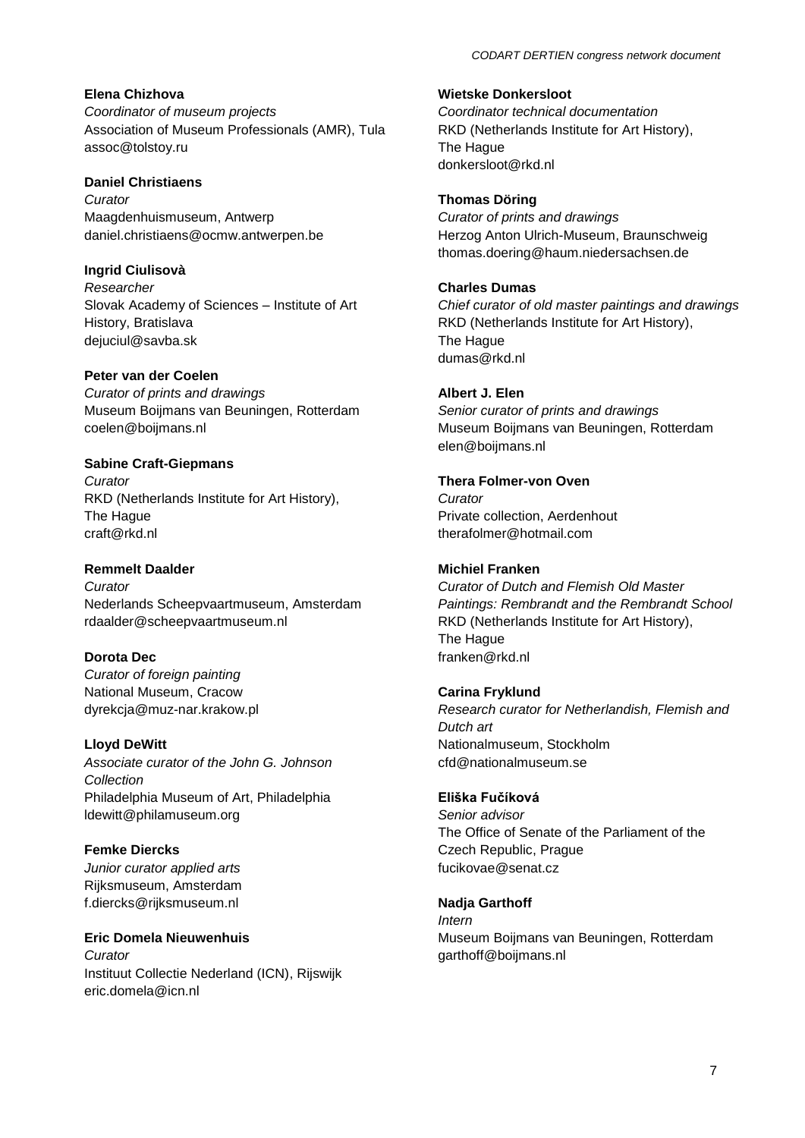### **Elena Chizhova**

*Coordinator of museum projects* Association of Museum Professionals (AMR), Tula assoc@tolstoy.ru

#### **Daniel Christiaens**

*Curator*  Maagdenhuismuseum, Antwerp daniel.christiaens@ocmw.antwerpen.be

#### **Ingrid Ciulisovà**

*Researcher* Slovak Academy of Sciences – Institute of Art History, Bratislava dejuciul@savba.sk

#### **Peter van der Coelen**

*Curator of prints and drawings* Museum Boijmans van Beuningen, Rotterdam coelen@boijmans.nl

#### **Sabine Craft-Giepmans**

*Curator* RKD (Netherlands Institute for Art History), The Hague craft@rkd.nl

#### **Remmelt Daalder**

*Curator*  Nederlands Scheepvaartmuseum, Amsterdam rdaalder@scheepvaartmuseum.nl

#### **Dorota Dec**

*Curator of foreign painting* National Museum, Cracow dyrekcja@muz-nar.krakow.pl

#### **Lloyd DeWitt**

*Associate curator of the John G. Johnson Collection* Philadelphia Museum of Art, Philadelphia ldewitt@philamuseum.org

## **Femke Diercks**

*Junior curator applied arts* Rijksmuseum, Amsterdam f.diercks@rijksmuseum.nl

# **Eric Domela Nieuwenhuis**

*Curator* Instituut Collectie Nederland (ICN), Rijswijk eric.domela@icn.nl

**Wietske Donkersloot** *Coordinator technical documentation* RKD (Netherlands Institute for Art History), The Hague donkersloot@rkd.nl

#### **Thomas Döring**

*Curator of prints and drawings* Herzog Anton Ulrich-Museum, Braunschweig thomas.doering@haum.niedersachsen.de

### **Charles Dumas**

*Chief curator of old master paintings and drawings* RKD (Netherlands Institute for Art History), The Hague dumas@rkd.nl

## **Albert J. Elen**

*Senior curator of prints and drawings* Museum Boijmans van Beuningen, Rotterdam elen@boijmans.nl

## **Thera Folmer-von Oven**

*Curator* Private collection, Aerdenhout therafolmer@hotmail.com

### **Michiel Franken**

*Curator of Dutch and Flemish Old Master Paintings: Rembrandt and the Rembrandt School* RKD (Netherlands Institute for Art History), The Hague franken@rkd.nl

### **Carina Fryklund**

*Research curator for Netherlandish, Flemish and Dutch art* Nationalmuseum, Stockholm cfd@nationalmuseum.se

#### **Eliška Fučíková**

*Senior advisor* The Office of Senate of the Parliament of the Czech Republic, Prague fucikovae@senat.cz

### **Nadja Garthoff**

*Intern* Museum Boijmans van Beuningen, Rotterdam garthoff@boijmans.nl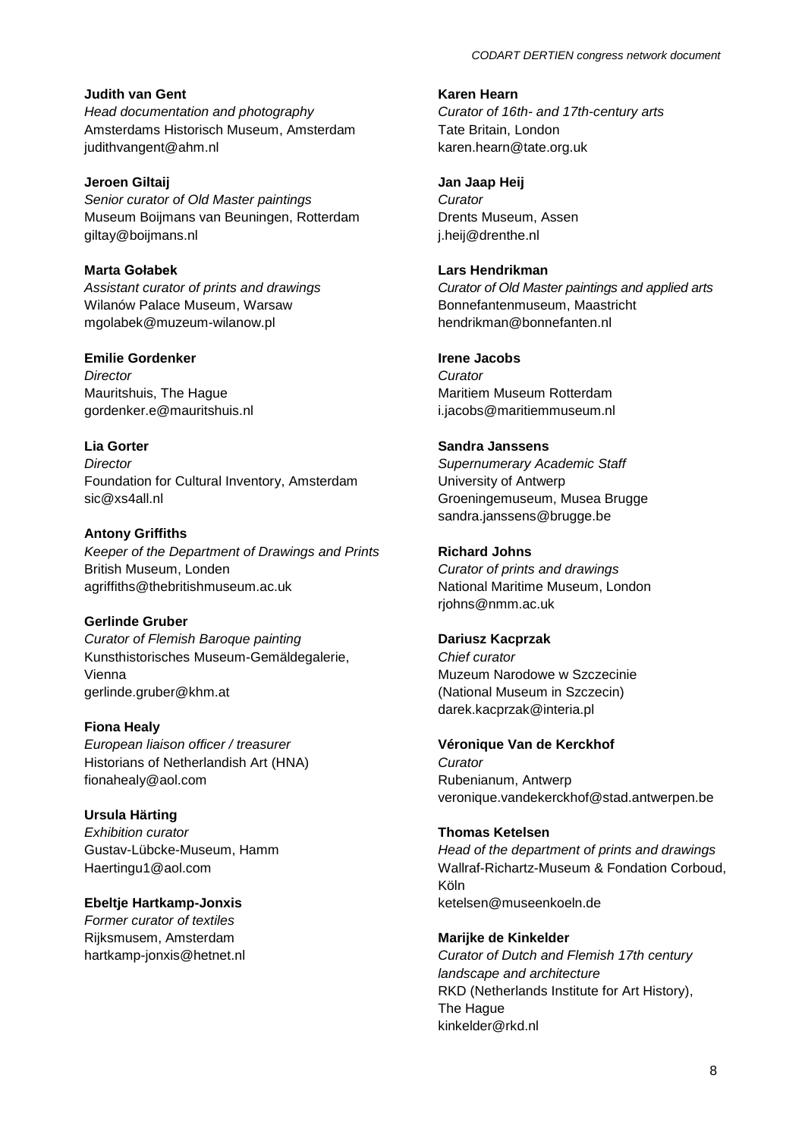### **Judith van Gent**

*[Head documentation and photography](http://www.codart.nl/office/datamanagement/institutions/institutions.php?id=366)*  Amsterdams Historisch Museum, Amsterdam judithvangent@ahm.nl

**Jeroen Giltaij** *Senior curator of Old Master paintings* Museum Boijmans van Beuningen, Rotterdam giltay@boijmans.nl

**Marta Gołabek** *Assistant curator of prints and drawings* Wilanów Palace Museum, Warsaw mgolabek@muzeum-wilanow.pl

#### **Emilie Gordenker**

*Director* Mauritshuis, The Hague gordenker.e@mauritshuis.nl

#### **Lia Gorter**

*Director* Foundation for Cultural Inventory, Amsterdam sic@xs4all.nl

#### **Antony Griffiths**

*Keeper of the Department of Drawings and Prints* British Museum, Londen agriffiths@thebritishmuseum.ac.uk

#### **Gerlinde Gruber**

*Curator of Flemish Baroque painting* Kunsthistorisches Museum-Gemäldegalerie, Vienna gerlinde.gruber@khm.at

#### **Fiona Healy**

*European liaison officer / treasurer* Historians of Netherlandish Art (HNA) fionahealy@aol.com

**Ursula Härting** *Exhibition curator* Gustav-Lübcke-Museum, Hamm Haertingu1@aol.com

**Ebeltje Hartkamp-Jonxis**

*Former curator of textiles* Rijksmusem, Amsterdam hartkamp-jonxis@hetnet.nl **Karen Hearn**

*Curator of 16th- and 17th-century arts* Tate Britain, London karen.hearn@tate.org.uk

**Jan Jaap Heij**

*Curator*  Drents Museum, Assen j.heij@drenthe.nl

#### **Lars Hendrikman**

*Curator of Old Master paintings and applied arts* Bonnefantenmuseum, Maastricht hendrikman@bonnefanten.nl

## **Irene Jacobs**

*Curator* Maritiem Museum Rotterdam i.jacobs@maritiemmuseum.nl

#### **Sandra Janssens**

*Supernumerary Academic Staff* University of Antwerp Groeningemuseum, Musea Brugge sandra.janssens@brugge.be

#### **Richard Johns**

*Curator of prints and drawings* National Maritime Museum, London rjohns@nmm.ac.uk

#### **Dariusz Kacprzak**

*Chief curator* Muzeum Narodowe w Szczecinie (National Museum in Szczecin) darek.kacprzak@interia.pl

#### **Véronique Van de Kerckhof**

*Curator* Rubenianum, Antwerp veronique.vandekerckhof@stad.antwerpen.be

#### **Thomas Ketelsen**

*Head of the department of prints and drawings* Wallraf-Richartz-Museum & Fondation Corboud, Köln ketelsen@museenkoeln.de

#### **Marijke de Kinkelder**

*Curator of Dutch and Flemish 17th century landscape and architecture*  RKD (Netherlands Institute for Art History), The Hague kinkelder@rkd.nl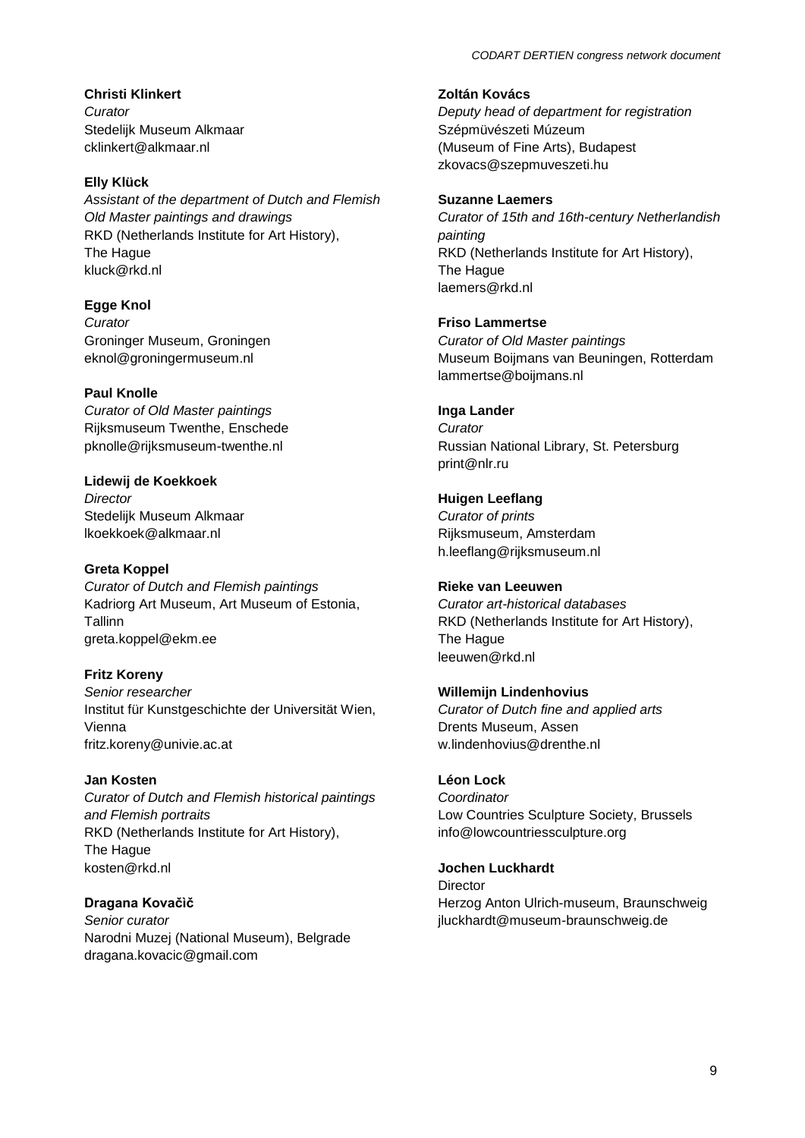**Christi Klinkert** *Curator* Stedelijk Museum Alkmaar cklinkert@alkmaar.nl

# **Elly Klück**

*Assistant of the department of Dutch and Flemish Old Master paintings and drawings* RKD (Netherlands Institute for Art History), The Hague kluck@rkd.nl

**Egge Knol** *Curator* Groninger Museum, Groningen eknol@groningermuseum.nl

# **Paul Knolle**

*Curator of Old Master paintings* Rijksmuseum Twenthe, Enschede pknolle@rijksmuseum-twenthe.nl

**Lidewij de Koekkoek** *Director*

Stedelijk Museum Alkmaar lkoekkoek@alkmaar.nl

# **Greta Koppel**

*Curator of Dutch and Flemish paintings* Kadriorg Art Museum, Art Museum of Estonia, **Tallinn** greta.koppel@ekm.ee

# **Fritz Koreny**

*Senior researcher*  Institut für Kunstgeschichte der Universität Wien, Vienna fritz.koreny@univie.ac.at

# **Jan Kosten**

*Curator of Dutch and Flemish historical paintings and Flemish portraits* RKD (Netherlands Institute for Art History), The Hague kosten@rkd.nl

# **Dragana Kovačìč**

*Senior curator*  Narodni Muzej (National Museum), Belgrade dragana.kovacic@gmail.com

**Zoltán Kovács**

*Deputy head of department for registration* Szépmüvészeti Múzeum (Museum of Fine Arts), Budapest zkovacs@szepmuveszeti.hu

# **Suzanne Laemers**

*Curator of 15th and 16th-century Netherlandish painting* RKD (Netherlands Institute for Art History), The Hague laemers@rkd.nl

# **Friso Lammertse**

*Curator of Old Master paintings* Museum Boijmans van Beuningen, Rotterdam lammertse@boijmans.nl

# **Inga Lander**

*Curator*  Russian National Library, St. Petersburg print@nlr.ru

**Huigen Leeflang** *Curator of prints* Rijksmuseum, Amsterdam h.leeflang@rijksmuseum.nl

# **Rieke van Leeuwen**

*Curator art-historical databases* RKD (Netherlands Institute for Art History), The Hague leeuwen@rkd.nl

# **Willemijn Lindenhovius**

*Curator of Dutch fine and applied arts* Drents Museum, Assen w.lindenhovius@drenthe.nl

# **Léon Lock**

*Coordinator* Low Countries Sculpture Society, Brussels info@lowcountriessculpture.org

# **Jochen Luckhardt**

Director Herzog Anton Ulrich-museum, Braunschweig jluckhardt@museum-braunschweig.de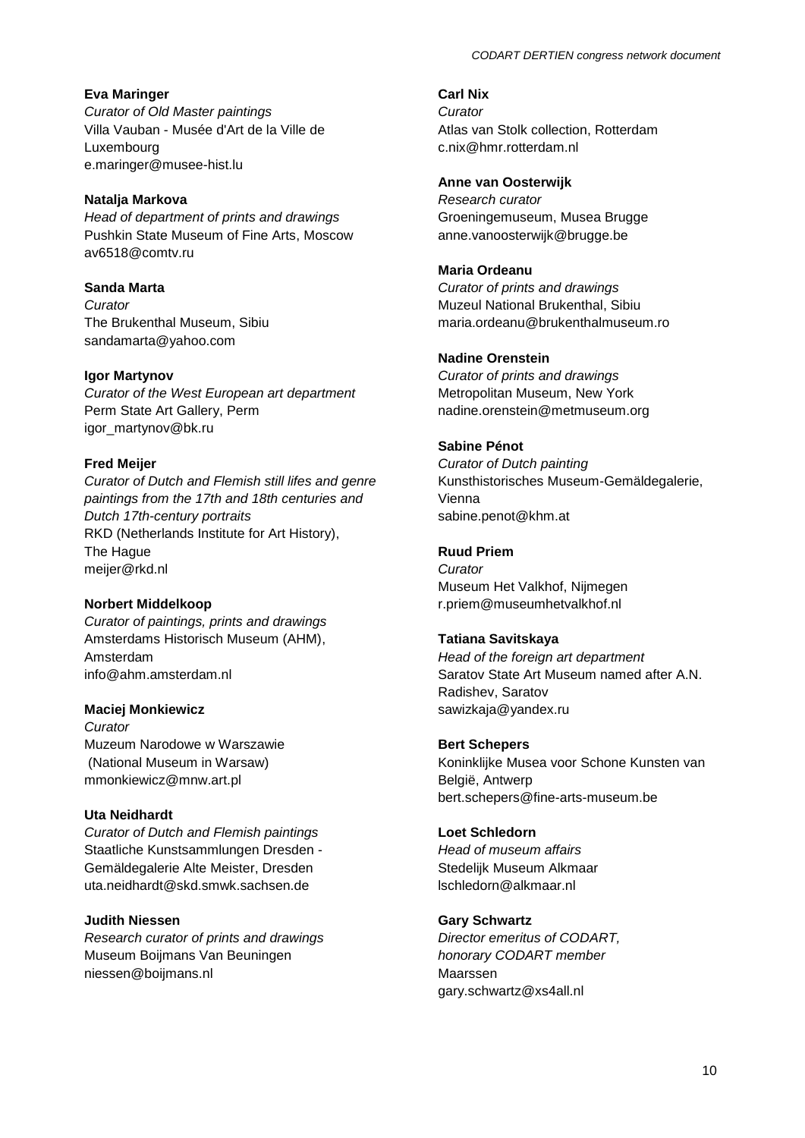### **Eva Maringer**

*[Curator of Old Master paintings](http://www.codart.nl/office/datamanagement/institutions/institutions.php?id=362)* Villa Vauban - Musée d'Art de la Ville de Luxembourg e.maringer@musee-hist.lu

## **Natalja Markova**

*Head of department of prints and drawings* Pushkin State Museum of Fine Arts, Moscow av6518@comtv.ru

**Sanda Marta** *Curator* The Brukenthal Museum, Sibiu sandamarta@yahoo.com

### **Igor Martynov**

*Curator of the West European art department* Perm State Art Gallery, Perm igor\_martynov@bk.ru

### **Fred Meijer**

*Curator of Dutch and Flemish still lifes and genre paintings from the 17th and 18th centuries and Dutch 17th-century portraits*  RKD (Netherlands Institute for Art History), The Hague meijer@rkd.nl

### **Norbert Middelkoop**

*[Curator of paintings, prints and drawings](http://www.codart.nl/office/datamanagement/institutions/institutions.php?id=366)* Amsterdams Historisch Museum (AHM), Amsterdam info@ahm.amsterdam.nl

### **Maciej Monkiewicz**

*Curator* Muzeum Narodowe w Warszawie (National Museum in Warsaw) mmonkiewicz@mnw.art.pl

### **Uta Neidhardt**

*Curator of Dutch and Flemish paintings* Staatliche Kunstsammlungen Dresden - Gemäldegalerie Alte Meister, Dresden uta.neidhardt@skd.smwk.sachsen.de

#### **Judith Niessen**

*Research curator of prints and drawings* Museum Boijmans Van Beuningen niessen@boijmans.nl

**Carl Nix** *Curator* Atlas van Stolk collection, Rotterdam c.nix@hmr.rotterdam.nl

#### **Anne van Oosterwijk**

*Research curator* Groeningemuseum, Musea Brugge anne.vanoosterwijk@brugge.be

#### **Maria Ordeanu**

*Curator of prints and drawings* Muzeul National Brukenthal, Sibiu maria.ordeanu@brukenthalmuseum.ro

#### **Nadine Orenstein**

*Curator of prints and drawings* Metropolitan Museum, New York nadine.orenstein@metmuseum.org

#### **Sabine Pénot**

*Curator of Dutch painting* Kunsthistorisches Museum-Gemäldegalerie, Vienna sabine.penot@khm.at

#### **Ruud Priem**

*Curator* Museum Het Valkhof, Nijmegen r.priem@museumhetvalkhof.nl

#### **Tatiana Savitskaya**

*Head of the foreign art department* Saratov State Art Museum named after A.N. Radishev, Saratov sawizkaja@yandex.ru

#### **Bert Schepers**

Koninklijke Musea voor Schone Kunsten van België, Antwerp bert.schepers@fine-arts-museum.be

#### **Loet Schledorn**

*Head of museum affairs* Stedelijk Museum Alkmaar lschledorn@alkmaar.nl

#### **Gary Schwartz**

*Director emeritus of CODART, honorary CODART member* Maarssen gary.schwartz@xs4all.nl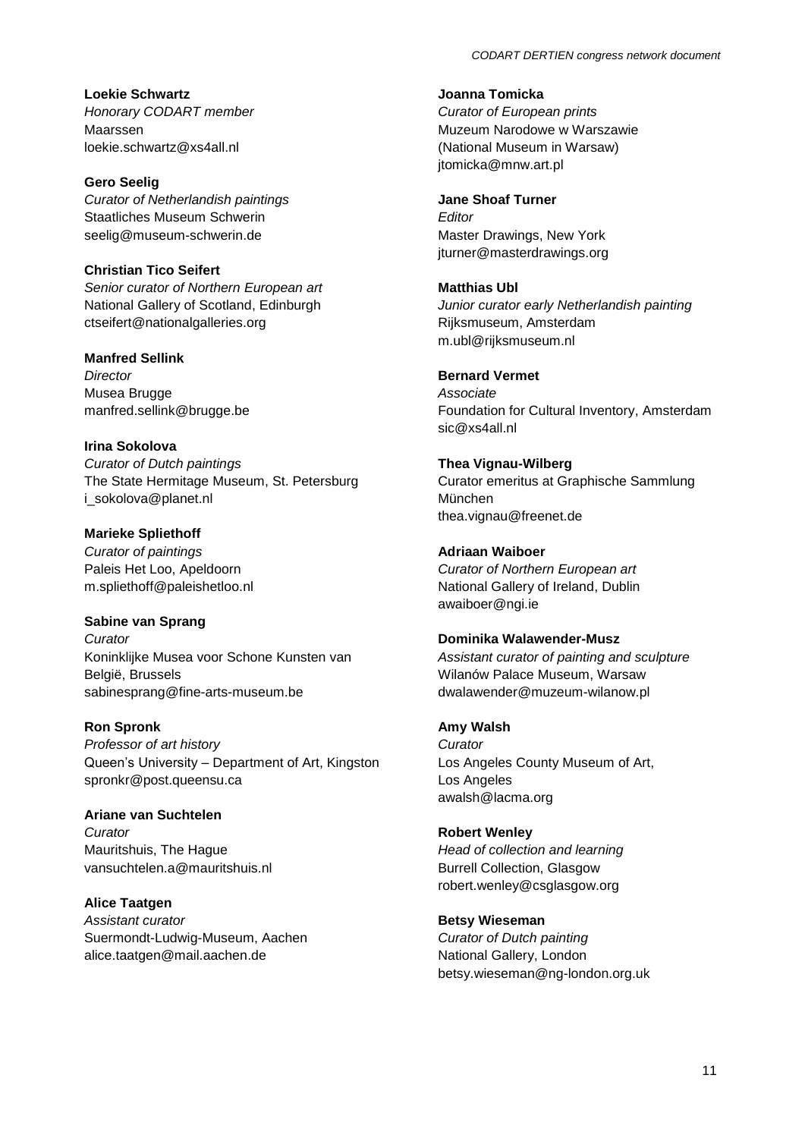**Loekie Schwartz** *Honorary CODART member* Maarssen loekie.schwartz@xs4all.nl

**Gero Seelig** *Curator of Netherlandish paintings* Staatliches Museum Schwerin seelig@museum-schwerin.de

**Christian Tico Seifert** *Senior curator of Northern European art* National Gallery of Scotland, Edinburgh ctseifert@nationalgalleries.org

**Manfred Sellink** *Director*

Musea Brugge manfred.sellink@brugge.be

**Irina Sokolova** *Curator of Dutch paintings* The State Hermitage Museum, St. Petersburg i\_sokolova@planet.nl

**Marieke Spliethoff** *Curator of paintings*  Paleis Het Loo, Apeldoorn m.spliethoff@paleishetloo.nl

**Sabine van Sprang** *Curator* Koninklijke Musea voor Schone Kunsten van België, Brussels sabinesprang@fine-arts-museum.be

**Ron Spronk** *Professor of art history* Queen's University – Department of Art, Kingston spronkr@post.queensu.ca

**Ariane van Suchtelen** *Curator* Mauritshuis, The Hague vansuchtelen.a@mauritshuis.nl

**Alice Taatgen** *Assistant curator* Suermondt-Ludwig-Museum, Aachen alice.taatgen@mail.aachen.de

**Joanna Tomicka**

*Curator of European prints*  Muzeum Narodowe w Warszawie (National Museum in Warsaw) jtomicka@mnw.art.pl

**Jane Shoaf Turner** *Editor* Master Drawings, New York jturner@masterdrawings.org

**Matthias Ubl** *Junior curator early Netherlandish painting* Rijksmuseum, Amsterdam m.ubl@rijksmuseum.nl

**Bernard Vermet** *Associate* Foundation for Cultural Inventory, Amsterdam sic@xs4all.nl

**Thea Vignau-Wilberg** Curator emeritus at Graphische Sammlung München thea.vignau@freenet.de

**Adriaan Waiboer** *Curator of Northern European art* National Gallery of Ireland, Dublin awaiboer@ngi.ie

**Dominika Walawender-Musz** *Assistant curator of painting and sculpture* Wilanów Palace Museum, Warsaw dwalawender@muzeum-wilanow.pl

**Amy Walsh** *Curator*  Los Angeles County Museum of Art, Los Angeles awalsh@lacma.org

**Robert Wenley** *Head of collection and learning* Burrell Collection, Glasgow robert.wenley@csglasgow.org

**Betsy Wieseman** *Curator of Dutch painting* National Gallery, London betsy.wieseman@ng-london.org.uk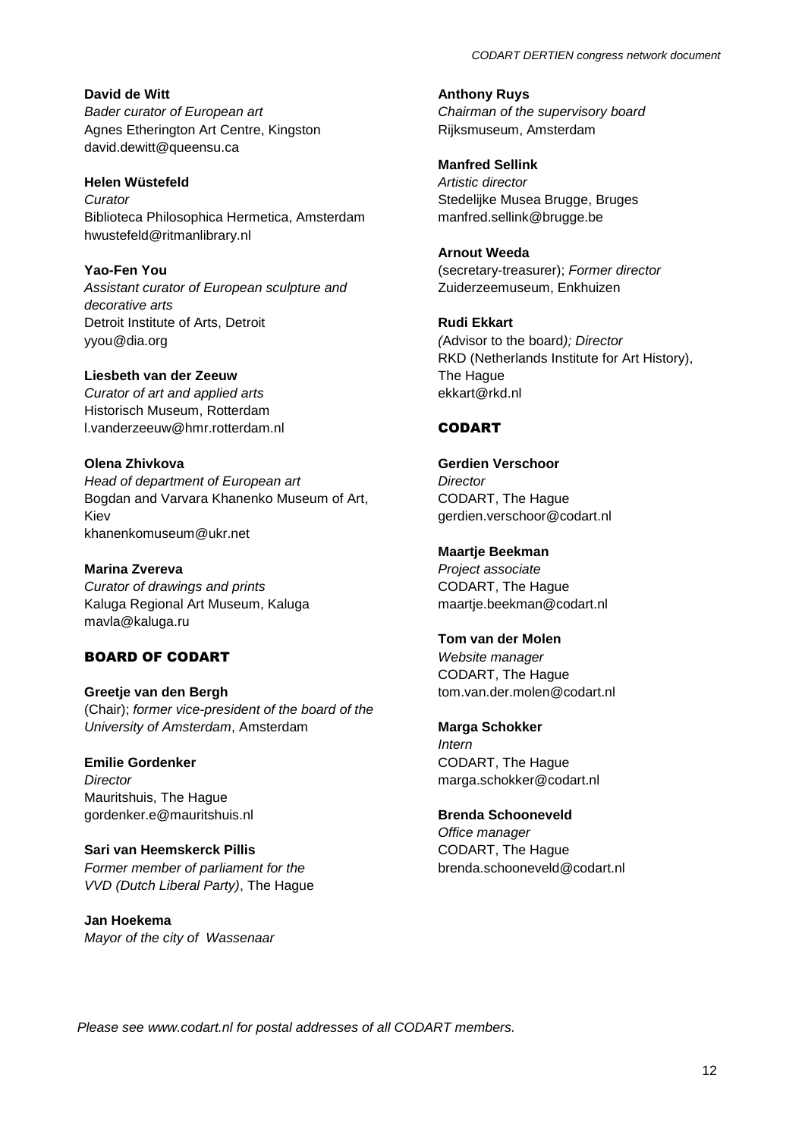**David de Witt** *Bader curator of European art* Agnes Etherington Art Centre, Kingston david.dewitt@queensu.ca

**Helen Wüstefeld** *Curator* Biblioteca Philosophica Hermetica, Amsterdam hwustefeld@ritmanlibrary.nl

**Yao-Fen You** *Assistant curator of European sculpture and decorative arts* Detroit Institute of Arts, Detroit yyou@dia.org

**Liesbeth van der Zeeuw** *Curator of art and applied arts* Historisch Museum, Rotterdam l.vanderzeeuw@hmr.rotterdam.nl

**Olena Zhivkova** *Head of department of European art* Bogdan and Varvara Khanenko Museum of Art, Kiev khanenkomuseum@ukr.net

**Marina Zvereva** *Curator of drawings and prints* Kaluga Regional Art Museum, Kaluga mavla@kaluga.ru

## BOARD OF CODART

**Greetje van den Bergh** (Chair); *former vice-president of the board of the University of Amsterdam*, Amsterdam

**Emilie Gordenker** *Director* Mauritshuis, The Hague gordenker.e@mauritshuis.nl

**Sari van Heemskerck Pillis** *Former member of parliament for the VVD (Dutch Liberal Party)*, The Hague

**Jan Hoekema** *Mayor of the city of Wassenaar* **Anthony Ruys** *Chairman of the supervisory board* Rijksmuseum, Amsterdam

**Manfred Sellink** *Artistic director* Stedelijke Musea Brugge, Bruges manfred.sellink@brugge.be

**Arnout Weeda** (secretary-treasurer); *Former director* Zuiderzeemuseum, Enkhuizen

**Rudi Ekkart** *(*Advisor to the board*); Director* RKD (Netherlands Institute for Art History), The Hague ekkart@rkd.nl

### **CODART**

**Gerdien Verschoor** *Director* CODART, The Hague gerdien.verschoor@codart.nl

**Maartje Beekman** *Project associate* CODART, The Hague maartje.beekman@codart.nl

**Tom van der Molen** *Website manager* CODART, The Hague tom.van.der.molen@codart.nl

**Marga Schokker** *Intern* CODART, The Hague marga.schokker@codart.nl

**Brenda Schooneveld** *Office manager* CODART, The Hague brenda.schooneveld@codart.nl

*Please see www.codart.nl for postal addresses of all CODART members.*